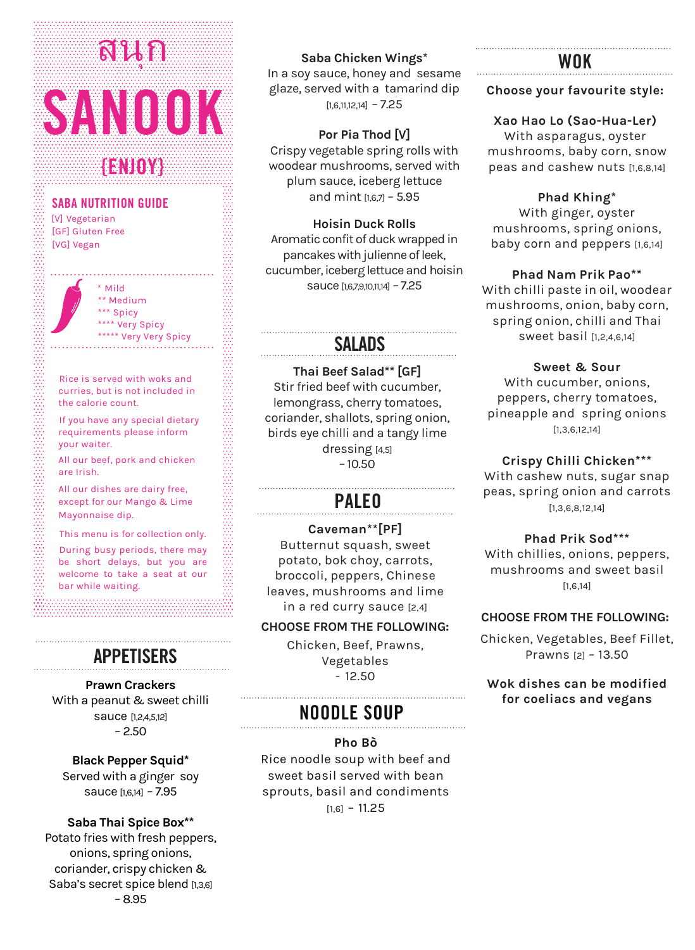# **SANOOK** สนุก

# **{ENJOY}**

#### **SABA NUTRITION GUIDE**

[V] Vegetarian [GF] Gluten Free [VG] Vegan

> \* Mild \*\* Medium \*\*\* Spicy \*\*\*\* Very Spicy \*\*\*\*\* Very Very Spicy

Rice is served with woks and curries, but is not included in the calorie count.

If you have any special dietary requirements please inform your waiter.

All our beef, pork and chicken are Irish.

All our dishes are dairy free, except for our Mango & Lime Mayonnaise dip.

This menu is for collection only.

During busy periods, there may be short delays, but you are welcome to take a seat at our bar while waiting.

#### **APPETISERS**

**Prawn Crackers**  With a peanut & sweet chilli sauce [1,2,4,5,12]  $-2.50$ 

#### **Black Pepper Squid\***

Served with a ginger soy sauce [1,6,14] – 7.95

#### **Saba Thai Spice Box\*\***

Potato fries with fresh peppers, onions, spring onions, coriander, crispy chicken & Saba's secret spice blend [1,3,6] – 8.95

#### **Saba Chicken Wings\***

In a soy sauce, honey and sesame glaze, served with a tamarind dip  $[1,6,11,12,14] - 7.25$ 

#### **Por Pia Thod [V]**

Crispy vegetable spring rolls with woodear mushrooms, served with plum sauce, iceberg lettuce and mint  $[167]$  – 5.95

**Hoisin Duck Rolls** 

Aromatic confit of duck wrapped in pancakes with julienne of leek, cucumber, iceberg lettuce and hoisin sauce [1,6,7,9,10,11,14] - 7.25

## **SALADS**

**Thai Beef Salad\*\* [GF]** Stir fried beef with cucumber, lemongrass, cherry tomatoes, coriander, shallots, spring onion, birds eye chilli and a tangy lime dressing [4,5] – 10.50

# **PALEO**

**Caveman\*\*[PF]** Butternut squash, sweet potato, bok choy, carrots, broccoli, peppers, Chinese leaves, mushrooms and lime in a red curry sauce [2,4]

#### **CHOOSE FROM THE FOLLOWING:**

Chicken, Beef, Prawns, Vegetables  $-12.50$ 

# **NOODLE SOUP**

**Pho Bò** Rice noodle soup with beef and sweet basil served with bean sprouts, basil and condiments  $[1,6] - 11.25$ 

## **WOK**

#### **Choose your favourite style:**

**Xao Hao Lo (Sao-Hua-Ler)** 

With asparagus, oyster mushrooms, baby corn, snow peas and cashew nuts [1,6,8,14]

**Phad Khing\*** With ginger, oyster mushrooms, spring onions, baby corn and peppers [1,6,14]

**Phad Nam Prik Pao\*\*** With chilli paste in oil, woodear mushrooms, onion, baby corn, spring onion, chilli and Thai sweet basil [1,2,4,6,14]

> **Sweet & Sour** With cucumber, onions,

peppers, cherry tomatoes, pineapple and spring onions [1,3,6,12,14]

**Crispy Chilli Chicken\*\*\*** 

With cashew nuts, sugar snap peas, spring onion and carrots [1,3,6,8,12,14]

#### **Phad Prik Sod\*\*\***

With chillies, onions, peppers, mushrooms and sweet basil [1,6,14]

#### **CHOOSE FROM THE FOLLOWING:**

Chicken, Vegetables, Beef Fillet, Prawns [2] – 13.50

**Wok dishes can be modified for coeliacs and vegans**